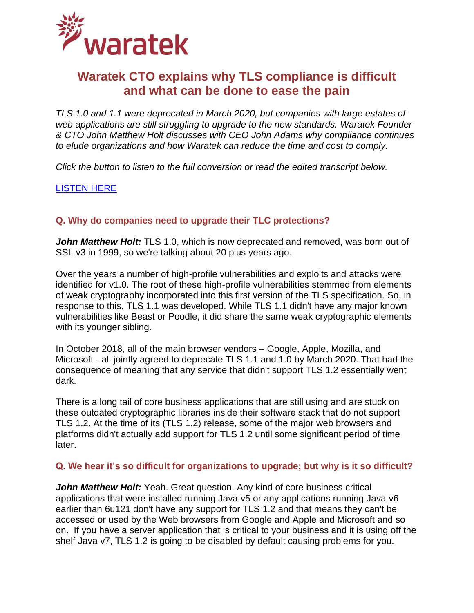

# **Waratek CTO explains why TLS compliance is difficult and what can be done to ease the pain**

*TLS 1.0 and 1.1 were deprecated in March 2020, but companies with large estates of web applications are still struggling to upgrade to the new standards. Waratek Founder & CTO John Matthew Holt discusses with CEO John Adams why compliance continues to elude organizations and how Waratek can reduce the time and cost to comply.* 

*Click the button to listen to the full conversion or read the edited transcript below.*

[LISTEN HERE](https://www.waratek.com/wp-content/uploads/2020/10/20201012-Waratek-Podcast-Edited-TLS.mp3)

# **Q. Why do companies need to upgrade their TLC protections?**

*John Matthew Holt:* TLS 1.0, which is now deprecated and removed, was born out of SSL v3 in 1999, so we're talking about 20 plus years ago.

Over the years a number of high-profile vulnerabilities and exploits and attacks were identified for v1.0. The root of these high-profile vulnerabilities stemmed from elements of weak cryptography incorporated into this first version of the TLS specification. So, in response to this, TLS 1.1 was developed. While TLS 1.1 didn't have any major known vulnerabilities like Beast or Poodle, it did share the same weak cryptographic elements with its younger sibling.

In October 2018, all of the main browser vendors – Google, Apple, Mozilla, and Microsoft - all jointly agreed to deprecate TLS 1.1 and 1.0 by March 2020. That had the consequence of meaning that any service that didn't support TLS 1.2 essentially went dark.

There is a long tail of core business applications that are still using and are stuck on these outdated cryptographic libraries inside their software stack that do not support TLS 1.2. At the time of its (TLS 1.2) release, some of the major web browsers and platforms didn't actually add support for TLS 1.2 until some significant period of time later.

# **Q. We hear it's so difficult for organizations to upgrade; but why is it so difficult?**

*John Matthew Holt:* Yeah. Great question. Any kind of core business critical applications that were installed running Java v5 or any applications running Java v6 earlier than 6u121 don't have any support for TLS 1.2 and that means they can't be accessed or used by the Web browsers from Google and Apple and Microsoft and so on. If you have a server application that is critical to your business and it is using off the shelf Java v7, TLS 1.2 is going to be disabled by default causing problems for you.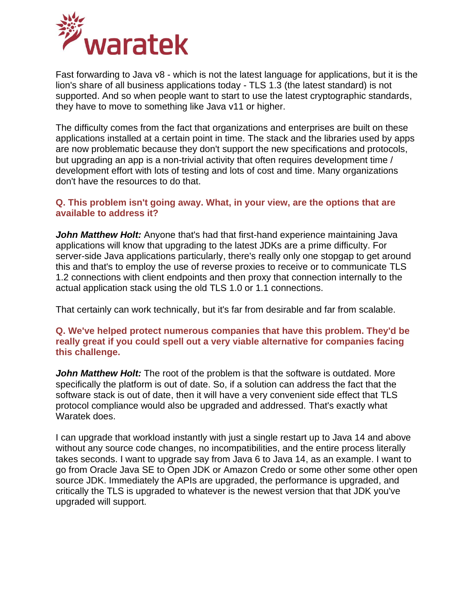

Fast forwarding to Java v8 - which is not the latest language for applications, but it is the lion's share of all business applications today - TLS 1.3 (the latest standard) is not supported. And so when people want to start to use the latest cryptographic standards, they have to move to something like Java v11 or higher.

The difficulty comes from the fact that organizations and enterprises are built on these applications installed at a certain point in time. The stack and the libraries used by apps are now problematic because they don't support the new specifications and protocols, but upgrading an app is a non-trivial activity that often requires development time / development effort with lots of testing and lots of cost and time. Many organizations don't have the resources to do that.

#### **Q. This problem isn't going away. What, in your view, are the options that are available to address it?**

*John Matthew Holt:* Anyone that's had that first-hand experience maintaining Java applications will know that upgrading to the latest JDKs are a prime difficulty. For server-side Java applications particularly, there's really only one stopgap to get around this and that's to employ the use of reverse proxies to receive or to communicate TLS 1.2 connections with client endpoints and then proxy that connection internally to the actual application stack using the old TLS 1.0 or 1.1 connections.

That certainly can work technically, but it's far from desirable and far from scalable.

# **Q. We've helped protect numerous companies that have this problem. They'd be really great if you could spell out a very viable alternative for companies facing this challenge.**

*John Matthew Holt:* The root of the problem is that the software is outdated. More specifically the platform is out of date. So, if a solution can address the fact that the software stack is out of date, then it will have a very convenient side effect that TLS protocol compliance would also be upgraded and addressed. That's exactly what Waratek does.

I can upgrade that workload instantly with just a single restart up to Java 14 and above without any source code changes, no incompatibilities, and the entire process literally takes seconds. I want to upgrade say from Java 6 to Java 14, as an example. I want to go from Oracle Java SE to Open JDK or Amazon Credo or some other some other open source JDK. Immediately the APIs are upgraded, the performance is upgraded, and critically the TLS is upgraded to whatever is the newest version that that JDK you've upgraded will support.